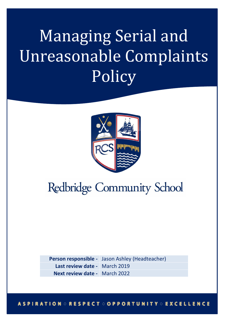# Managing Serial and Unreasonable Complaints Policy



## **Redbridge Community School**

**Person responsible -** Jason Ashley (Headteacher) **Last review date -** March 2019 **Next review date -** March 2022

**ASPIRATION : RESPECT : OPPORTUNITY : EXCELLENCE**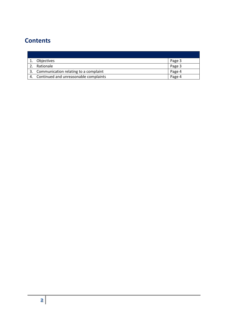### **Contents**

| Objectives                               | Page 3 |
|------------------------------------------|--------|
| Rationale                                | Page 3 |
| 3. Communication relating to a complaint | Page 4 |
| 4. Continued and unreasonable complaints | Page 4 |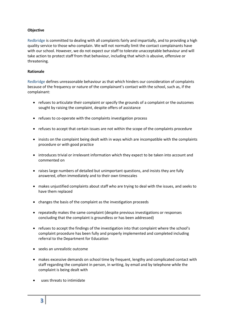#### **Objective**

Redbridge is committed to dealing with all complaints fairly and impartially, and to providing a high quality service to those who complain. We will not normally limit the contact complainants have with our school. However, we do not expect our staff to tolerate unacceptable behaviour and will take action to protect staff from that behaviour, including that which is abusive, offensive or threatening.

#### **Rationale**

Redbridge defines unreasonable behaviour as that which hinders our consideration of complaints because of the frequency or nature of the complainant's contact with the school, such as, if the complainant:

- refuses to articulate their complaint or specify the grounds of a complaint or the outcomes sought by raising the complaint, despite offers of assistance
- refuses to co-operate with the complaints investigation process
- refuses to accept that certain issues are not within the scope of the complaints procedure
- insists on the complaint being dealt with in ways which are incompatible with the complaints procedure or with good practice
- introduces trivial or irrelevant information which they expect to be taken into account and commented on
- raises large numbers of detailed but unimportant questions, and insists they are fully answered, often immediately and to their own timescales
- makes unjustified complaints about staff who are trying to deal with the issues, and seeks to have them replaced
- changes the basis of the complaint as the investigation proceeds
- repeatedly makes the same complaint (despite previous investigations or responses concluding that the complaint is groundless or has been addressed)
- refuses to accept the findings of the investigation into that complaint where the school's complaint procedure has been fully and properly implemented and completed including referral to the Department for Education
- seeks an unrealistic outcome
- makes excessive demands on school time by frequent, lengthy and complicated contact with staff regarding the complaint in person, in writing, by email and by telephone while the complaint is being dealt with
- uses threats to intimidate